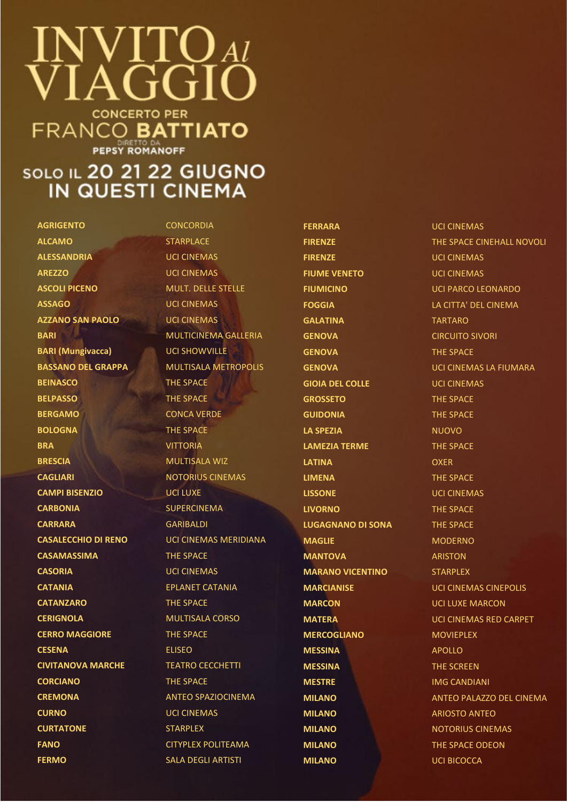## $\mathsf{V}\Gamma\mathsf{U}$  at GGI **CONCERTO PER FRANCO BATTIATO**

**PEPSY ROMANOFF** 

## **SOLO IL 20 21 22 GIUGNO** IN QUESTI CINEMA

**AGRIGENTO** CONCORDIA **ALCAMO** STARPLACE **ALESSANDRIA** UCI CINEMAS **AREZZO** UCI CINEMAS **ASCOLI PICENO** MULT. DELLE STELLE **ASSAGO** UCI CINEMAS **AZZANO SAN PAOLO** UCI CINEMAS **BARI (Mungivacca)** UCI SHOWVILLE **BEINASCO** THE SPACE **BELPASSO** THE SPACE **BERGAMO** CONCA VERDE **BOLOGNA** THE SPACE **BRA** VITTORIA **BRESCIA** MULTISALA WIZ **CAGLIARI** NOTORIUS CINEMAS **CAMPI BISENZIO** UCI LUXE **CARBONIA** SUPERCINEMA **CARRARA** GARIBALDI **CASAMASSIMA** THE SPACE **CASORIA** UCI CINEMAS **CATANIA** EPLANET CATANIA **CATANZARO** THE SPACE **CERIGNOLA** MULTISALA CORSO **CERRO MAGGIORE** THE SPACE **CESENA** ELISEO **CIVITANOVA MARCHE TEATRO CECCHETTI CORCIANO** THE SPACE **CREMONA** ANTEO SPAZIOCINEMA **CURNO** UCI CINEMAS **CURTATONE** STARPLEX **FANO** CITYPLEX POLITEAMA **FERMO** SALA DEGLI ARTISTI

**BARI** MULTICINEMA GALLERIA **BASSANO DEL GRAPPA MULTISALA METROPOLIS CASALECCHIO DI RENO** UCI CINEMAS MERIDIANA

**FERRARA UCI CINEMAS FIRENZE** UCI CINEMAS **FIUME VENETO** UCI CINEMAS **GALATINA** TARTARO **GENOVA** CIRCUITO SIVORI **GENOVA** THE SPACE **GIOIA DEL COLLE** UCI CINEMAS **GROSSETO** THE SPACE **GUIDONIA** THE SPACE **LA SPEZIA** NUOVO **LAMEZIA TERME** THE SPACE **LATINA** OXER **LIMENA** THE SPACE **LISSONE** UCI CINEMAS **LIVORNO** THE SPACE **LUGAGNANO DI SONA** THE SPACE **MAGLIE** MODERNO **MANTOVA** ARISTON **MARANO VICENTINO** STARPLEX **MARCON** UCI LUXE MARCON **MERCOGLIANO** MOVIEPLEX **MESSINA** APOLLO **MESSINA** THE SCREEN **MESTRE** IMG CANDIANI **MILANO** ARIOSTO ANTEO **MILANO** NOTORIUS CINEMAS **MILANO** THE SPACE ODEON **MILANO** UCI BICOCCA

**FIRENZE** THE SPACE CINEHALL NOVOLI **FIUMICINO** UCI PARCO LEONARDO **FOGGIA** LA CITTA' DEL CINEMA **GENOVA** UCI CINEMAS LA FIUMARA **MARCIANISE** UCI CINEMAS CINEPOLIS **MATERA** UCI CINEMAS RED CARPET **MILANO** ANTEO PALAZZO DEL CINEMA